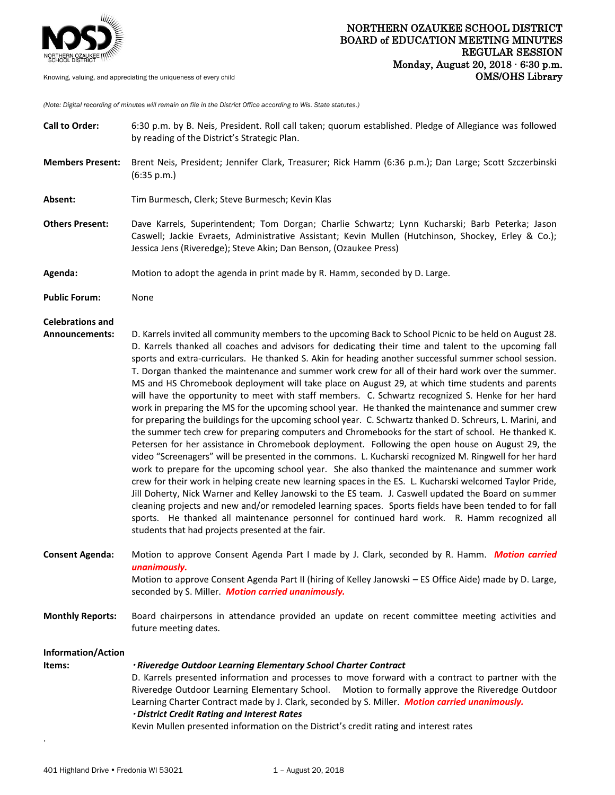

*(Note: Digital recording of minutes will remain on file in the District Office according to Wis. State statutes.)*

| <b>Call to Order:</b>                     | 6:30 p.m. by B. Neis, President. Roll call taken; quorum established. Pledge of Allegiance was followed<br>by reading of the District's Strategic Plan.                                                                                                                                                                                                                                                                                                                                                                                                                                                                                                                                                                                                                                                                                                                                                                                                                                                                                                                                                                                                                                                                                                                                                                                                                                                                                                                                                                                                                                                                                                                                                                                                                |  |  |
|-------------------------------------------|------------------------------------------------------------------------------------------------------------------------------------------------------------------------------------------------------------------------------------------------------------------------------------------------------------------------------------------------------------------------------------------------------------------------------------------------------------------------------------------------------------------------------------------------------------------------------------------------------------------------------------------------------------------------------------------------------------------------------------------------------------------------------------------------------------------------------------------------------------------------------------------------------------------------------------------------------------------------------------------------------------------------------------------------------------------------------------------------------------------------------------------------------------------------------------------------------------------------------------------------------------------------------------------------------------------------------------------------------------------------------------------------------------------------------------------------------------------------------------------------------------------------------------------------------------------------------------------------------------------------------------------------------------------------------------------------------------------------------------------------------------------------|--|--|
| <b>Members Present:</b>                   | Brent Neis, President; Jennifer Clark, Treasurer; Rick Hamm (6:36 p.m.); Dan Large; Scott Szczerbinski<br>(6:35 p.m.)                                                                                                                                                                                                                                                                                                                                                                                                                                                                                                                                                                                                                                                                                                                                                                                                                                                                                                                                                                                                                                                                                                                                                                                                                                                                                                                                                                                                                                                                                                                                                                                                                                                  |  |  |
| Absent:                                   | Tim Burmesch, Clerk; Steve Burmesch; Kevin Klas                                                                                                                                                                                                                                                                                                                                                                                                                                                                                                                                                                                                                                                                                                                                                                                                                                                                                                                                                                                                                                                                                                                                                                                                                                                                                                                                                                                                                                                                                                                                                                                                                                                                                                                        |  |  |
| <b>Others Present:</b>                    | Dave Karrels, Superintendent; Tom Dorgan; Charlie Schwartz; Lynn Kucharski; Barb Peterka; Jason<br>Caswell; Jackie Evraets, Administrative Assistant; Kevin Mullen (Hutchinson, Shockey, Erley & Co.);<br>Jessica Jens (Riveredge); Steve Akin; Dan Benson, (Ozaukee Press)                                                                                                                                                                                                                                                                                                                                                                                                                                                                                                                                                                                                                                                                                                                                                                                                                                                                                                                                                                                                                                                                                                                                                                                                                                                                                                                                                                                                                                                                                            |  |  |
| Agenda:                                   | Motion to adopt the agenda in print made by R. Hamm, seconded by D. Large.                                                                                                                                                                                                                                                                                                                                                                                                                                                                                                                                                                                                                                                                                                                                                                                                                                                                                                                                                                                                                                                                                                                                                                                                                                                                                                                                                                                                                                                                                                                                                                                                                                                                                             |  |  |
| <b>Public Forum:</b>                      | None                                                                                                                                                                                                                                                                                                                                                                                                                                                                                                                                                                                                                                                                                                                                                                                                                                                                                                                                                                                                                                                                                                                                                                                                                                                                                                                                                                                                                                                                                                                                                                                                                                                                                                                                                                   |  |  |
| <b>Celebrations and</b><br>Announcements: | D. Karrels invited all community members to the upcoming Back to School Picnic to be held on August 28.<br>D. Karrels thanked all coaches and advisors for dedicating their time and talent to the upcoming fall<br>sports and extra-curriculars. He thanked S. Akin for heading another successful summer school session.<br>T. Dorgan thanked the maintenance and summer work crew for all of their hard work over the summer.<br>MS and HS Chromebook deployment will take place on August 29, at which time students and parents<br>will have the opportunity to meet with staff members. C. Schwartz recognized S. Henke for her hard<br>work in preparing the MS for the upcoming school year. He thanked the maintenance and summer crew<br>for preparing the buildings for the upcoming school year. C. Schwartz thanked D. Schreurs, L. Marini, and<br>the summer tech crew for preparing computers and Chromebooks for the start of school. He thanked K.<br>Petersen for her assistance in Chromebook deployment. Following the open house on August 29, the<br>video "Screenagers" will be presented in the commons. L. Kucharski recognized M. Ringwell for her hard<br>work to prepare for the upcoming school year. She also thanked the maintenance and summer work<br>crew for their work in helping create new learning spaces in the ES. L. Kucharski welcomed Taylor Pride,<br>Jill Doherty, Nick Warner and Kelley Janowski to the ES team. J. Caswell updated the Board on summer<br>cleaning projects and new and/or remodeled learning spaces. Sports fields have been tended to for fall<br>sports. He thanked all maintenance personnel for continued hard work. R. Hamm recognized all<br>students that had projects presented at the fair. |  |  |
| <b>Consent Agenda:</b>                    | Motion to approve Consent Agenda Part I made by J. Clark, seconded by R. Hamm. Motion carried<br>unanimously.<br>Motion to approve Consent Agenda Part II (hiring of Kelley Janowski – ES Office Aide) made by D. Large,<br>seconded by S. Miller. Motion carried unanimously.                                                                                                                                                                                                                                                                                                                                                                                                                                                                                                                                                                                                                                                                                                                                                                                                                                                                                                                                                                                                                                                                                                                                                                                                                                                                                                                                                                                                                                                                                         |  |  |
| <b>Monthly Reports:</b>                   | Board chairpersons in attendance provided an update on recent committee meeting activities and<br>future meeting dates.                                                                                                                                                                                                                                                                                                                                                                                                                                                                                                                                                                                                                                                                                                                                                                                                                                                                                                                                                                                                                                                                                                                                                                                                                                                                                                                                                                                                                                                                                                                                                                                                                                                |  |  |
| Information/Action<br>Items:              | · Riveredge Outdoor Learning Elementary School Charter Contract<br>D. Karrels presented information and processes to move forward with a contract to partner with the                                                                                                                                                                                                                                                                                                                                                                                                                                                                                                                                                                                                                                                                                                                                                                                                                                                                                                                                                                                                                                                                                                                                                                                                                                                                                                                                                                                                                                                                                                                                                                                                  |  |  |
|                                           | Riveredge Outdoor Learning Elementary School.<br>Motion to formally approve the Riveredge Outdoor<br>Learning Charter Contract made by J. Clark, seconded by S. Miller. Motion carried unanimously.<br>· District Credit Rating and Interest Rates<br>Kevin Mullen presented information on the District's credit rating and interest rates                                                                                                                                                                                                                                                                                                                                                                                                                                                                                                                                                                                                                                                                                                                                                                                                                                                                                                                                                                                                                                                                                                                                                                                                                                                                                                                                                                                                                            |  |  |

.